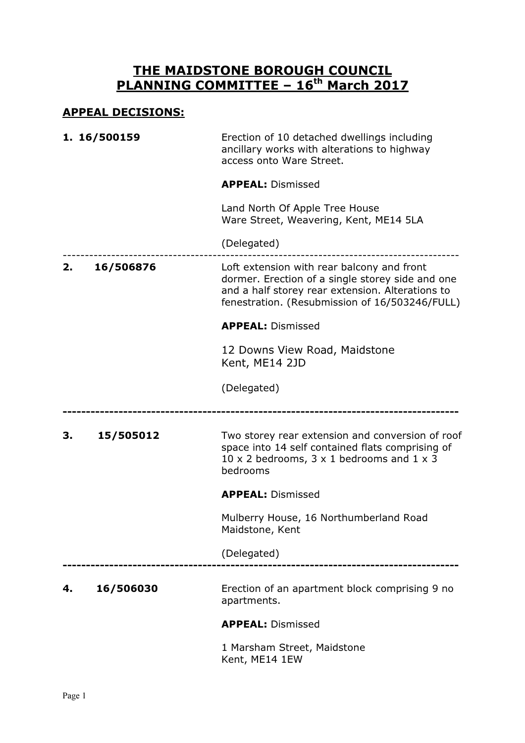## THE MAIDSTONE BOROUGH COUNCIL PLANNING COMMITTEE - 16<sup>th</sup> March 2017

## APPEAL DECISIONS:

|    | 1. 16/500159 | Erection of 10 detached dwellings including<br>ancillary works with alterations to highway<br>access onto Ware Street.                                                                               |
|----|--------------|------------------------------------------------------------------------------------------------------------------------------------------------------------------------------------------------------|
|    |              | <b>APPEAL: Dismissed</b>                                                                                                                                                                             |
|    |              | Land North Of Apple Tree House<br>Ware Street, Weavering, Kent, ME14 5LA                                                                                                                             |
|    |              | (Delegated)                                                                                                                                                                                          |
| 2. | 16/506876    | Loft extension with rear balcony and front<br>dormer. Erection of a single storey side and one<br>and a half storey rear extension. Alterations to<br>fenestration. (Resubmission of 16/503246/FULL) |
|    |              | <b>APPEAL: Dismissed</b>                                                                                                                                                                             |
|    |              | 12 Downs View Road, Maidstone<br>Kent, ME14 2JD                                                                                                                                                      |
|    |              | (Delegated)                                                                                                                                                                                          |
| 3. | 15/505012    | Two storey rear extension and conversion of roof<br>space into 14 self contained flats comprising of<br>10 x 2 bedrooms, $3 \times 1$ bedrooms and $1 \times 3$<br>bedrooms                          |
|    |              | <b>APPEAL: Dismissed</b>                                                                                                                                                                             |
|    |              | Mulberry House, 16 Northumberland Road<br>Maidstone, Kent                                                                                                                                            |
|    |              | (Delegated)                                                                                                                                                                                          |
|    |              |                                                                                                                                                                                                      |
| 4. | 16/506030    | Erection of an apartment block comprising 9 no<br>apartments.                                                                                                                                        |
|    |              | <b>APPEAL: Dismissed</b>                                                                                                                                                                             |
|    |              | 1 Marsham Street, Maidstone<br>Kent, ME14 1EW                                                                                                                                                        |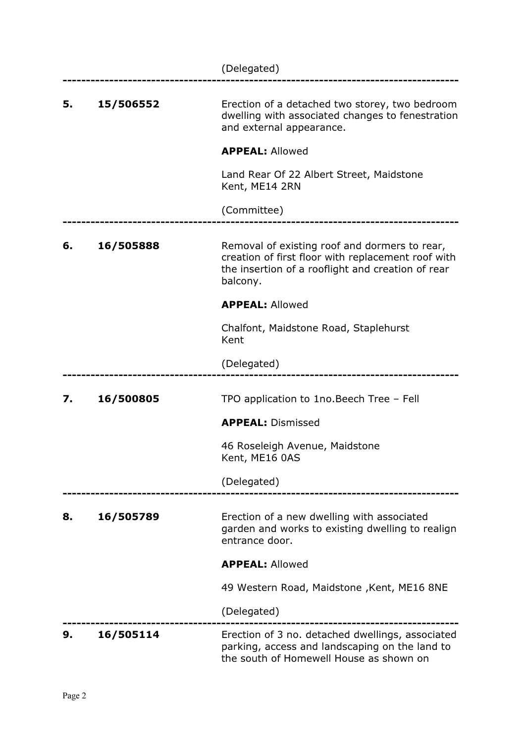|    |           | (Delegated)                                                                                                                                                          |
|----|-----------|----------------------------------------------------------------------------------------------------------------------------------------------------------------------|
| 5. | 15/506552 | Erection of a detached two storey, two bedroom<br>dwelling with associated changes to fenestration<br>and external appearance.                                       |
|    |           | <b>APPEAL: Allowed</b>                                                                                                                                               |
|    |           | Land Rear Of 22 Albert Street, Maidstone<br>Kent, ME14 2RN                                                                                                           |
|    |           | (Committee)                                                                                                                                                          |
| 6. | 16/505888 | Removal of existing roof and dormers to rear,<br>creation of first floor with replacement roof with<br>the insertion of a rooflight and creation of rear<br>balcony. |
|    |           | <b>APPEAL: Allowed</b>                                                                                                                                               |
|    |           | Chalfont, Maidstone Road, Staplehurst<br>Kent                                                                                                                        |
|    |           | (Delegated)                                                                                                                                                          |
| 7. | 16/500805 | TPO application to 1no. Beech Tree - Fell                                                                                                                            |
|    |           | <b>APPEAL: Dismissed</b>                                                                                                                                             |
|    |           | 46 Roseleigh Avenue, Maidstone<br>Kent, ME16 0AS                                                                                                                     |
|    |           | (Delegated)                                                                                                                                                          |
| 8. | 16/505789 | Erection of a new dwelling with associated<br>garden and works to existing dwelling to realign<br>entrance door.                                                     |
|    |           | <b>APPEAL: Allowed</b>                                                                                                                                               |
|    |           | 49 Western Road, Maidstone, Kent, ME16 8NE                                                                                                                           |
|    |           | (Delegated)                                                                                                                                                          |
| 9. | 16/505114 | Erection of 3 no. detached dwellings, associated<br>parking, access and landscaping on the land to<br>the south of Homewell House as shown on                        |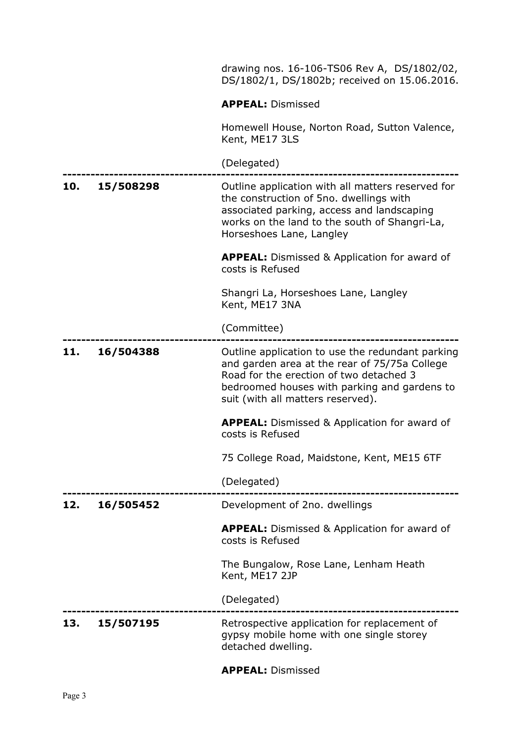|     |           | drawing nos. 16-106-TS06 Rev A, DS/1802/02,<br>DS/1802/1, DS/1802b; received on 15.06.2016.                                                                                                                                       |
|-----|-----------|-----------------------------------------------------------------------------------------------------------------------------------------------------------------------------------------------------------------------------------|
|     |           | <b>APPEAL: Dismissed</b>                                                                                                                                                                                                          |
|     |           | Homewell House, Norton Road, Sutton Valence,<br>Kent, ME17 3LS                                                                                                                                                                    |
|     |           | (Delegated)                                                                                                                                                                                                                       |
| 10. | 15/508298 | Outline application with all matters reserved for<br>the construction of 5no. dwellings with<br>associated parking, access and landscaping<br>works on the land to the south of Shangri-La,<br>Horseshoes Lane, Langley           |
|     |           | <b>APPEAL:</b> Dismissed & Application for award of<br>costs is Refused                                                                                                                                                           |
|     |           | Shangri La, Horseshoes Lane, Langley<br>Kent, ME17 3NA                                                                                                                                                                            |
|     |           | (Committee)                                                                                                                                                                                                                       |
| 11. | 16/504388 | Outline application to use the redundant parking<br>and garden area at the rear of 75/75a College<br>Road for the erection of two detached 3<br>bedroomed houses with parking and gardens to<br>suit (with all matters reserved). |
|     |           | <b>APPEAL:</b> Dismissed & Application for award of<br>costs is Refused                                                                                                                                                           |
|     |           | 75 College Road, Maidstone, Kent, ME15 6TF                                                                                                                                                                                        |
|     |           | (Delegated)                                                                                                                                                                                                                       |
| 12. | 16/505452 | Development of 2no. dwellings                                                                                                                                                                                                     |
|     |           | <b>APPEAL:</b> Dismissed & Application for award of<br>costs is Refused                                                                                                                                                           |
|     |           | The Bungalow, Rose Lane, Lenham Heath<br>Kent, ME17 2JP                                                                                                                                                                           |
|     |           | (Delegated)                                                                                                                                                                                                                       |
| 13. | 15/507195 | Retrospective application for replacement of<br>gypsy mobile home with one single storey<br>detached dwelling.                                                                                                                    |
|     |           |                                                                                                                                                                                                                                   |

APPEAL: Dismissed